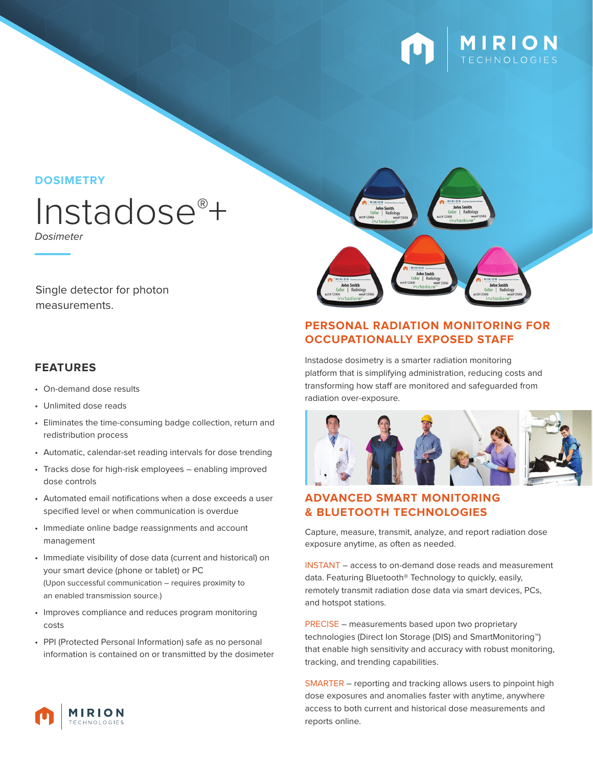

**DOSIMETRY**

# Instadose®+

Dosimeter

Single detector for photon measurements.

## **FEATURES**

- On-demand dose results
- Unlimited dose reads
- Eliminates the time-consuming badge collection, return and redistribution process
- Automatic, calendar-set reading intervals for dose trending
- Tracks dose for high-risk employees enabling improved dose controls
- Automated email notifications when a dose exceeds a user specified level or when communication is overdue
- Immediate online badge reassignments and account management
- Immediate visibility of dose data (current and historical) on your smart device (phone or tablet) or PC (Upon successful communication – requires proximity to an enabled transmission source.)
- Improves compliance and reduces program monitoring costs
- PPI (Protected Personal Information) safe as no personal information is contained on or transmitted by the dosimeter



## **PERSONAL RADIATION MONITORING FOR OCCUPATIONALLY EXPOSED STAFF**

Instadose dosimetry is a smarter radiation monitoring platform that is simplifying administration, reducing costs and transforming how staff are monitored and safeguarded from radiation over-exposure.



## **ADVANCED SMART MONITORING & BLUETOOTH TECHNOLOGIES**

Capture, measure, transmit, analyze, and report radiation dose exposure anytime, as often as needed.

INSTANT – access to on-demand dose reads and measurement data. Featuring Bluetooth® Technology to quickly, easily, remotely transmit radiation dose data via smart devices, PCs, and hotspot stations.

PRECISE – measurements based upon two proprietary technologies (Direct Ion Storage (DIS) and SmartMonitoring™) that enable high sensitivity and accuracy with robust monitoring, tracking, and trending capabilities.

SMARTER – reporting and tracking allows users to pinpoint high dose exposures and anomalies faster with anytime, anywhere access to both current and historical dose measurements and reports online.